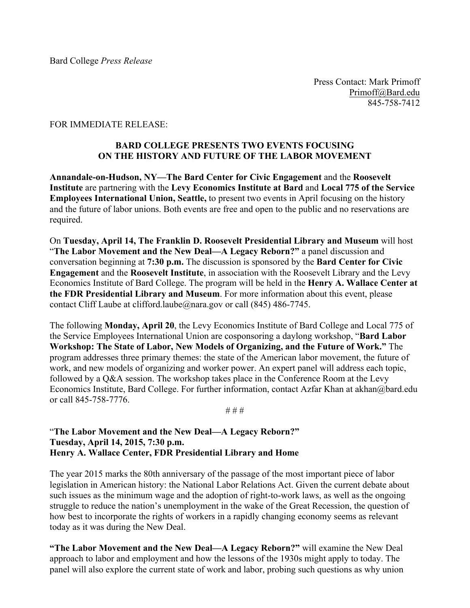Press Contact: Mark Primoff Primoff@Bard.edu 845-758-7412

#### FOR IMMEDIATE RELEASE:

## **BARD COLLEGE PRESENTS TWO EVENTS FOCUSING ON THE HISTORY AND FUTURE OF THE LABOR MOVEMENT**

**Annandale-on-Hudson, NY—The Bard Center for Civic Engagement** and the **Roosevelt Institute** are partnering with the **Levy Economics Institute at Bard** and **Local 775 of the Service Employees International Union, Seattle,** to present two events in April focusing on the history and the future of labor unions. Both events are free and open to the public and no reservations are required.

On **Tuesday, April 14, The Franklin D. Roosevelt Presidential Library and Museum** will host "**The Labor Movement and the New Deal—A Legacy Reborn?"** a panel discussion and conversation beginning at **7:30 p.m.** The discussion is sponsored by the **Bard Center for Civic Engagement** and the **Roosevelt Institute**, in association with the Roosevelt Library and the Levy Economics Institute of Bard College. The program will be held in the **Henry A. Wallace Center at the FDR Presidential Library and Museum**. For more information about this event, please contact Cliff Laube at clifford.laube@nara.gov or call (845) 486-7745.

The following **Monday, April 20**, the Levy Economics Institute of Bard College and Local 775 of the Service Employees International Union are cosponsoring a daylong workshop, "**Bard Labor Workshop: The State of Labor, New Models of Organizing, and the Future of Work."** The program addresses three primary themes: the state of the American labor movement, the future of work, and new models of organizing and worker power. An expert panel will address each topic, followed by a Q&A session. The workshop takes place in the Conference Room at the Levy Economics Institute, Bard College. For further information, contact Azfar Khan at akhan@bard.edu or call 845-758-7776.

# # #

### "**The Labor Movement and the New Deal—A Legacy Reborn?" Tuesday, April 14, 2015, 7:30 p.m. Henry A. Wallace Center, FDR Presidential Library and Home**

The year 2015 marks the 80th anniversary of the passage of the most important piece of labor legislation in American history: the National Labor Relations Act. Given the current debate about such issues as the minimum wage and the adoption of right-to-work laws, as well as the ongoing struggle to reduce the nation's unemployment in the wake of the Great Recession, the question of how best to incorporate the rights of workers in a rapidly changing economy seems as relevant today as it was during the New Deal.

**"The Labor Movement and the New Deal—A Legacy Reborn?"** will examine the New Deal approach to labor and employment and how the lessons of the 1930s might apply to today. The panel will also explore the current state of work and labor, probing such questions as why union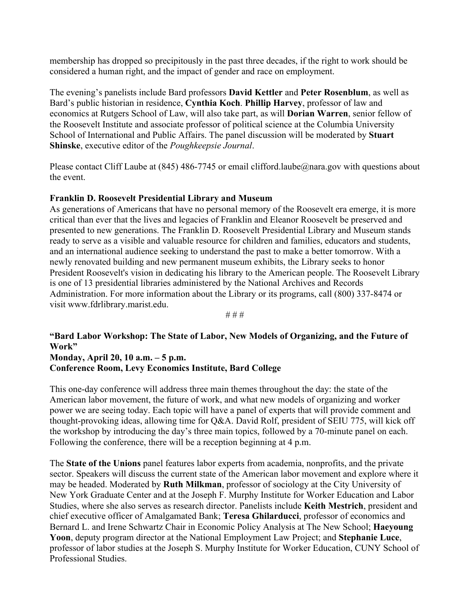membership has dropped so precipitously in the past three decades, if the right to work should be considered a human right, and the impact of gender and race on employment.

The evening's panelists include Bard professors **David Kettler** and **Peter Rosenblum**, as well as Bard's public historian in residence, **Cynthia Koch**. **Phillip Harvey**, professor of law and economics at Rutgers School of Law, will also take part, as will **Dorian Warren**, senior fellow of the Roosevelt Institute and associate professor of political science at the Columbia University School of International and Public Affairs. The panel discussion will be moderated by **Stuart Shinske**, executive editor of the *Poughkeepsie Journal*.

Please contact Cliff Laube at (845) 486-7745 or email clifford.laube@nara.gov with questions about the event.

### **Franklin D. Roosevelt Presidential Library and Museum**

As generations of Americans that have no personal memory of the Roosevelt era emerge, it is more critical than ever that the lives and legacies of Franklin and Eleanor Roosevelt be preserved and presented to new generations. The Franklin D. Roosevelt Presidential Library and Museum stands ready to serve as a visible and valuable resource for children and families, educators and students, and an international audience seeking to understand the past to make a better tomorrow. With a newly renovated building and new permanent museum exhibits, the Library seeks to honor President Roosevelt's vision in dedicating his library to the American people. The Roosevelt Library is one of 13 presidential libraries administered by the National Archives and Records Administration. For more information about the Library or its programs, call (800) 337-8474 or visit www.fdrlibrary.marist.edu.

# # #

### **"Bard Labor Workshop: The State of Labor, New Models of Organizing, and the Future of Work" Monday, April 20, 10 a.m. – 5 p.m.**

# **Conference Room, Levy Economics Institute, Bard College**

This one-day conference will address three main themes throughout the day: the state of the American labor movement, the future of work, and what new models of organizing and worker power we are seeing today. Each topic will have a panel of experts that will provide comment and thought-provoking ideas, allowing time for Q&A. David Rolf, president of SEIU 775, will kick off the workshop by introducing the day's three main topics, followed by a 70-minute panel on each. Following the conference, there will be a reception beginning at 4 p.m.

The **State of the Unions** panel features labor experts from academia, nonprofits, and the private sector. Speakers will discuss the current state of the American labor movement and explore where it may be headed. Moderated by **Ruth Milkman**, professor of sociology at the City University of New York Graduate Center and at the Joseph F. Murphy Institute for Worker Education and Labor Studies, where she also serves as research director. Panelists include **Keith Mestrich**, president and chief executive officer of Amalgamated Bank; **Teresa Ghilarducci**, professor of economics and Bernard L. and Irene Schwartz Chair in Economic Policy Analysis at The New School; **Haeyoung Yoon**, deputy program director at the National Employment Law Project; and **Stephanie Luce**, professor of labor studies at the Joseph S. Murphy Institute for Worker Education, CUNY School of Professional Studies.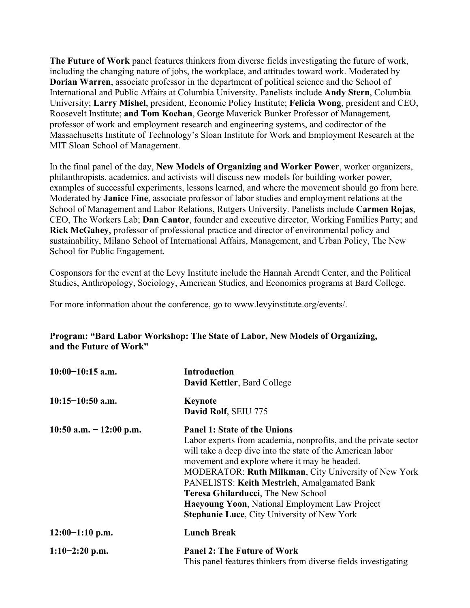**The Future of Work** panel features thinkers from diverse fields investigating the future of work, including the changing nature of jobs, the workplace, and attitudes toward work. Moderated by **Dorian Warren**, associate professor in the department of political science and the School of International and Public Affairs at Columbia University. Panelists include **Andy Stern**, Columbia University; **Larry Mishel**, president, Economic Policy Institute; **Felicia Wong**, president and CEO, Roosevelt Institute; **and Tom Kochan**, George Maverick Bunker Professor of Management*,*  professor of work and employment research and engineering systems, and codirector of the Massachusetts Institute of Technology's Sloan Institute for Work and Employment Research at the MIT Sloan School of Management.

In the final panel of the day, **New Models of Organizing and Worker Power**, worker organizers, philanthropists, academics, and activists will discuss new models for building worker power, examples of successful experiments, lessons learned, and where the movement should go from here. Moderated by **Janice Fine**, associate professor of labor studies and employment relations at the School of Management and Labor Relations, Rutgers University. Panelists include **Carmen Rojas**, CEO, The Workers Lab; **Dan Cantor**, founder and executive director, Working Families Party; and **Rick McGahey**, professor of professional practice and director of environmental policy and sustainability, Milano School of International Affairs, Management, and Urban Policy, The New School for Public Engagement.

Cosponsors for the event at the Levy Institute include the Hannah Arendt Center, and the Political Studies, Anthropology, Sociology, American Studies, and Economics programs at Bard College.

For more information about the conference, go to www.levyinstitute.org/events/.

# **Program: "Bard Labor Workshop: The State of Labor, New Models of Organizing, and the Future of Work"**

| $10:00-10:15$ a.m.       | <b>Introduction</b><br>David Kettler, Bard College                                                                                                                                                                                                                                                                                                                                                                                                                                      |
|--------------------------|-----------------------------------------------------------------------------------------------------------------------------------------------------------------------------------------------------------------------------------------------------------------------------------------------------------------------------------------------------------------------------------------------------------------------------------------------------------------------------------------|
| $10:15-10:50$ a.m.       | <b>Keynote</b><br>David Rolf, SEIU 775                                                                                                                                                                                                                                                                                                                                                                                                                                                  |
| 10:50 a.m. $-12:00$ p.m. | <b>Panel 1: State of the Unions</b><br>Labor experts from academia, nonprofits, and the private sector<br>will take a deep dive into the state of the American labor<br>movement and explore where it may be headed.<br>MODERATOR: Ruth Milkman, City University of New York<br><b>PANELISTS: Keith Mestrich, Amalgamated Bank</b><br>Teresa Ghilarducci, The New School<br><b>Haeyoung Yoon, National Employment Law Project</b><br><b>Stephanie Luce, City University of New York</b> |
| $12:00-1:10$ p.m.        | <b>Lunch Break</b>                                                                                                                                                                                                                                                                                                                                                                                                                                                                      |
| $1:10-2:20$ p.m.         | <b>Panel 2: The Future of Work</b><br>This panel features thinkers from diverse fields investigating                                                                                                                                                                                                                                                                                                                                                                                    |